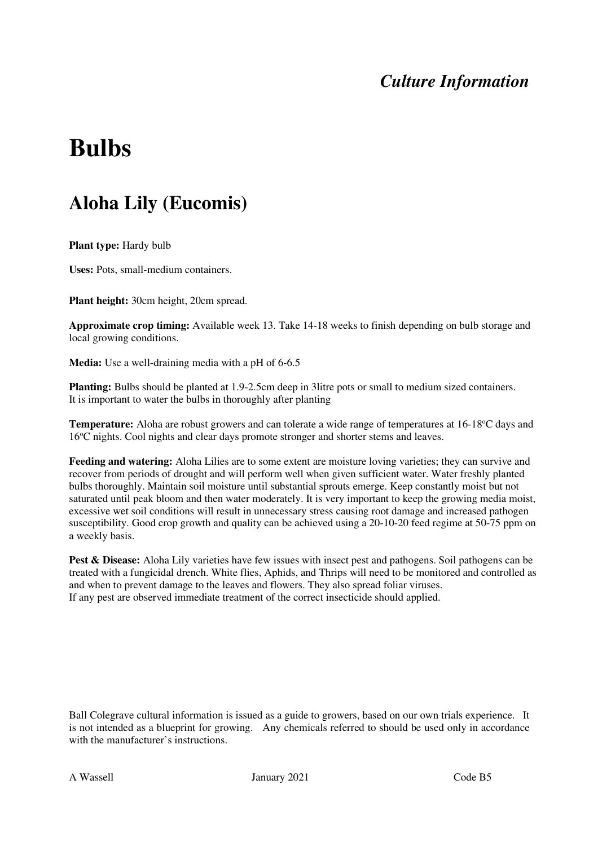# **Bulbs**

### **Aloha Lily (Eucomis)**

**Plant type:** Hardy bulb

**Uses:** Pots, small-medium containers.

**Plant height:** 30cm height, 20cm spread.

**Approximate crop timing:** Available week 13. Take 14-18 weeks to finish depending on bulb storage and local growing conditions.

**Media:** Use a well-draining media with a pH of 6-6.5

**Planting:** Bulbs should be planted at 1.9-2.5cm deep in 3litre pots or small to medium sized containers. It is important to water the bulbs in thoroughly after planting

**Temperature:** Aloha are robust growers and can tolerate a wide range of temperatures at 16-18<sup>o</sup>C days and 16<sup>o</sup>C nights. Cool nights and clear days promote stronger and shorter stems and leaves.

**Feeding and watering:** Aloha Lilies are to some extent are moisture loving varieties; they can survive and recover from periods of drought and will perform well when given sufficient water. Water freshly planted bulbs thoroughly. Maintain soil moisture until substantial sprouts emerge. Keep constantly moist but not saturated until peak bloom and then water moderately. It is very important to keep the growing media moist, excessive wet soil conditions will result in unnecessary stress causing root damage and increased pathogen susceptibility. Good crop growth and quality can be achieved using a 20-10-20 feed regime at 50-75 ppm on a weekly basis.

**Pest & Disease:** Aloha Lily varieties have few issues with insect pest and pathogens. Soil pathogens can be treated with a fungicidal drench. White flies, Aphids, and Thrips will need to be monitored and controlled as and when to prevent damage to the leaves and flowers. They also spread foliar viruses. If any pest are observed immediate treatment of the correct insecticide should applied.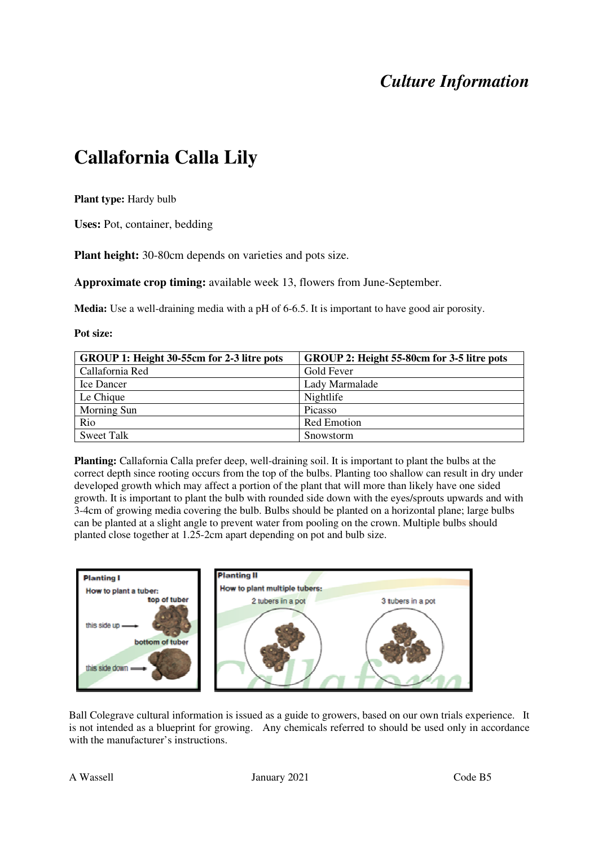# **Callafornia Calla Lily**

**Plant type:** Hardy bulb

**Uses:** Pot, container, bedding

**Plant height:** 30-80cm depends on varieties and pots size.

**Approximate crop timing:** available week 13, flowers from June-September.

**Media:** Use a well-draining media with a pH of 6-6.5. It is important to have good air porosity.

**Pot size:**

| GROUP 1: Height 30-55cm for 2-3 litre pots | GROUP 2: Height 55-80cm for 3-5 litre pots |
|--------------------------------------------|--------------------------------------------|
| Callafornia Red                            | Gold Fever                                 |
| Ice Dancer                                 | Lady Marmalade                             |
| Le Chique                                  | Nightlife                                  |
| Morning Sun                                | Picasso                                    |
| Rio                                        | <b>Red Emotion</b>                         |
| Sweet Talk                                 | Snowstorm                                  |

**Planting:** Callafornia Calla prefer deep, well-draining soil. It is important to plant the bulbs at the correct depth since rooting occurs from the top of the bulbs. Planting too shallow can result in dry under developed growth which may affect a portion of the plant that will more than likely have one sided growth. It is important to plant the bulb with rounded side down with the eyes/sprouts upwards and with 3-4cm of growing media covering the bulb. Bulbs should be planted on a horizontal plane; large bulbs can be planted at a slight angle to prevent water from pooling on the crown. Multiple bulbs should planted close together at 1.25-2cm apart depending on pot and bulb size.

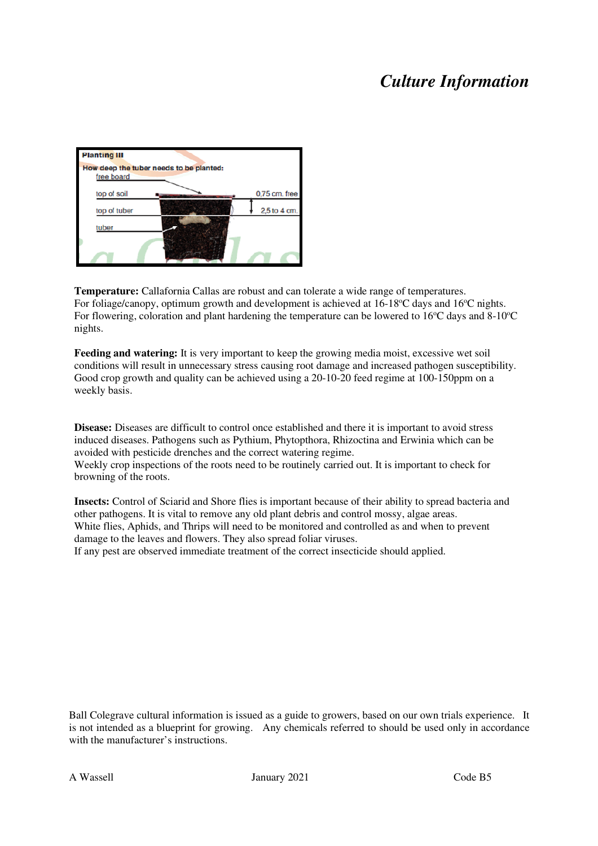| <b>Planting III</b> |                                         |               |
|---------------------|-----------------------------------------|---------------|
|                     | How deep the tuber needs to be planted: |               |
| free board          |                                         |               |
| top of soil         |                                         | 0,75 cm. free |
| top of tuber        |                                         | 2,5 to 4 cm.  |
| tuber               |                                         |               |
|                     |                                         |               |
|                     |                                         |               |

**Temperature:** Callafornia Callas are robust and can tolerate a wide range of temperatures. For foliage/canopy, optimum growth and development is achieved at  $16$ -18 $^{\circ}$ C days and  $16^{\circ}$ C nights. For flowering, coloration and plant hardening the temperature can be lowered to  $16^{\circ}$ C days and 8-10<sup>o</sup>C nights.

**Feeding and watering:** It is very important to keep the growing media moist, excessive wet soil conditions will result in unnecessary stress causing root damage and increased pathogen susceptibility. Good crop growth and quality can be achieved using a 20-10-20 feed regime at 100-150ppm on a weekly basis.

**Disease:** Diseases are difficult to control once established and there it is important to avoid stress induced diseases. Pathogens such as Pythium, Phytopthora, Rhizoctina and Erwinia which can be avoided with pesticide drenches and the correct watering regime.

Weekly crop inspections of the roots need to be routinely carried out. It is important to check for browning of the roots.

**Insects:** Control of Sciarid and Shore flies is important because of their ability to spread bacteria and other pathogens. It is vital to remove any old plant debris and control mossy, algae areas. White flies, Aphids, and Thrips will need to be monitored and controlled as and when to prevent damage to the leaves and flowers. They also spread foliar viruses. If any pest are observed immediate treatment of the correct insecticide should applied.